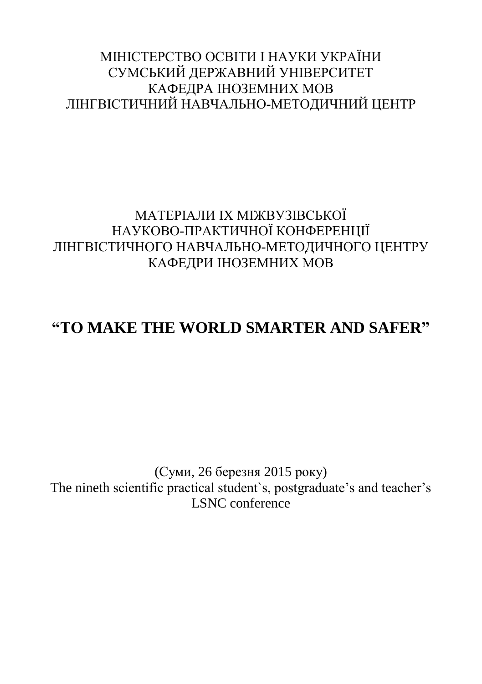## МІНІСТЕРСТВО ОСВІТИ І НАУКИ УКРАЇНИ СУМСЬКИЙ ДЕРЖАВНИЙ УНІВЕРСИТЕТ КАФЕДРА ІНОЗЕМНИХ МОВ ЛІНГВІСТИЧНИЙ НАВЧАЛЬНО-МЕТОДИЧНИЙ ЦЕНТР

## МАТЕРІАЛИ IX МІЖВУЗІВСЬКОЇ НАУКОВО-ПРАКТИЧНОЇ КОНФЕРЕНЦІЇ ЛІНГВІСТИЧНОГО НАВЧАЛЬНО-МЕТОДИЧНОГО ЦЕНТРУ КАФЕДРИ ІНОЗЕМНИХ МОВ

## **"TO MAKE THE WORLD SMARTER AND SAFER"**

(Суми, 26 березня 2015 року) The nineth scientific practical student`s, postgraduate's and teacher's LSNC conference